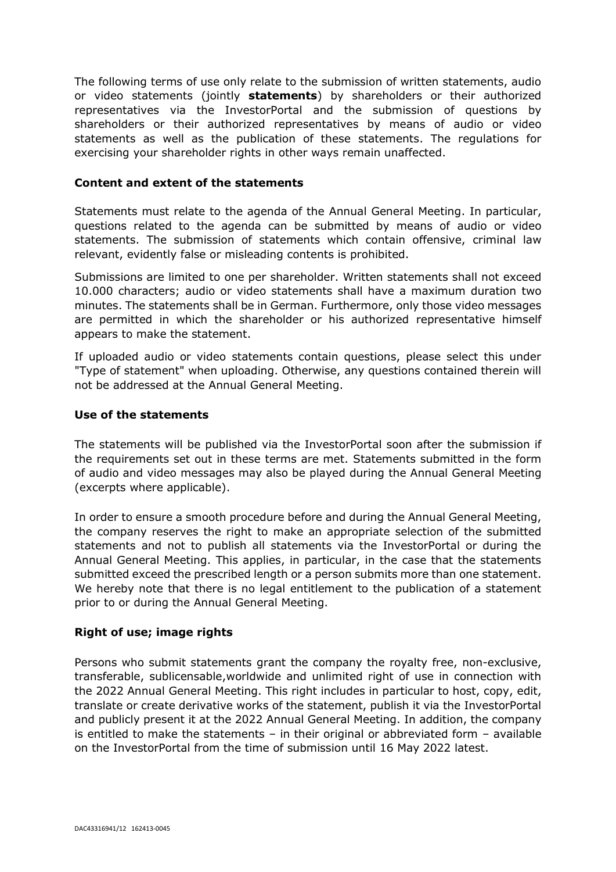The following terms of use only relate to the submission of written statements, audio or video statements (jointly **statements**) by shareholders or their authorized representatives via the InvestorPortal and the submission of questions by shareholders or their authorized representatives by means of audio or video statements as well as the publication of these statements. The regulations for exercising your shareholder rights in other ways remain unaffected.

#### **Content and extent of the statements**

Statements must relate to the agenda of the Annual General Meeting. In particular, questions related to the agenda can be submitted by means of audio or video statements. The submission of statements which contain offensive, criminal law relevant, evidently false or misleading contents is prohibited.

Submissions are limited to one per shareholder. Written statements shall not exceed 10.000 characters; audio or video statements shall have a maximum duration two minutes. The statements shall be in German. Furthermore, only those video messages are permitted in which the shareholder or his authorized representative himself appears to make the statement.

If uploaded audio or video statements contain questions, please select this under "Type of statement" when uploading. Otherwise, any questions contained therein will not be addressed at the Annual General Meeting.

#### **Use of the statements**

The statements will be published via the InvestorPortal soon after the submission if the requirements set out in these terms are met. Statements submitted in the form of audio and video messages may also be played during the Annual General Meeting (excerpts where applicable).

In order to ensure a smooth procedure before and during the Annual General Meeting, the company reserves the right to make an appropriate selection of the submitted statements and not to publish all statements via the InvestorPortal or during the Annual General Meeting. This applies, in particular, in the case that the statements submitted exceed the prescribed length or a person submits more than one statement. We hereby note that there is no legal entitlement to the publication of a statement prior to or during the Annual General Meeting.

# **Right of use; image rights**

Persons who submit statements grant the company the royalty free, non-exclusive, transferable, sublicensable,worldwide and unlimited right of use in connection with the 2022 Annual General Meeting. This right includes in particular to host, copy, edit, translate or create derivative works of the statement, publish it via the InvestorPortal and publicly present it at the 2022 Annual General Meeting. In addition, the company is entitled to make the statements – in their original or abbreviated form – available on the InvestorPortal from the time of submission until 16 May 2022 latest.